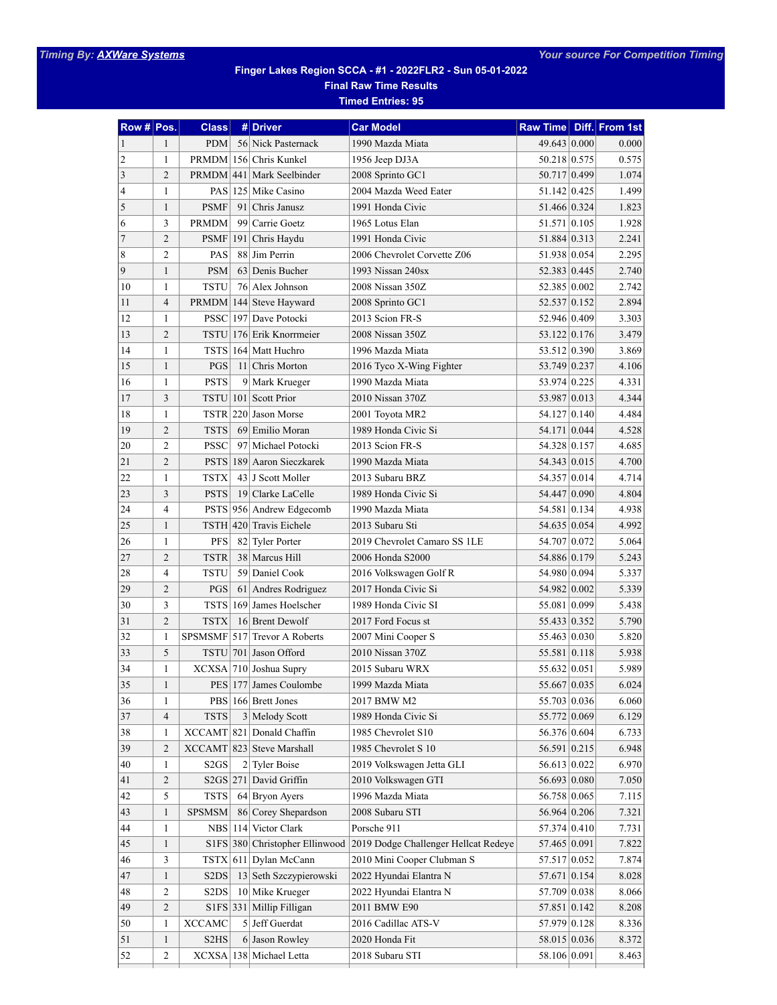## **Finger Lakes Region SCCA - #1 - 2022FLR2 - Sun 05-01-2022 Final Raw Time Results**

**Timed Entries: 95**

| Row # Pos.   |                | <b>Class</b>                  |     | # Driver                  | <b>Car Model</b>                     | Raw Time Diff. From 1st |       |
|--------------|----------------|-------------------------------|-----|---------------------------|--------------------------------------|-------------------------|-------|
| $\mathbf{1}$ | 1              | <b>PDM</b>                    |     | 56 Nick Pasternack        | 1990 Mazda Miata                     | 49.643 0.000            | 0.000 |
| 2            | 1              | PRMDM                         |     | 156 Chris Kunkel          | 1956 Jeep DJ3A                       | 50.218 0.575            | 0.575 |
| 3            | $\overline{2}$ | <b>PRMDM</b>                  |     | 441 Mark Seelbinder       | 2008 Sprinto GC1                     | 50.717 0.499            | 1.074 |
| 4            | $\mathbf{1}$   | PAS                           |     | 125 Mike Casino           | 2004 Mazda Weed Eater                | 51.142 0.425            | 1.499 |
| 5            | $\mathbf{1}$   | <b>PSMF</b>                   |     | 91 Chris Janusz           | 1991 Honda Civic                     | 51.466 0.324            | 1.823 |
| 6            | 3              | <b>PRMDM</b>                  | 99  | Carrie Goetz              | 1965 Lotus Elan                      | 51.571 0.105            | 1.928 |
| 7            | $\overline{2}$ | <b>PSMF</b>                   |     | 191 Chris Haydu           | 1991 Honda Civic                     | 51.884 0.313            | 2.241 |
| 8            | $\overline{2}$ | <b>PAS</b>                    |     | 88 Jim Perrin             | 2006 Chevrolet Corvette Z06          | 51.938 0.054            | 2.295 |
| 9            | $\mathbf{1}$   | <b>PSM</b>                    |     | 63 Denis Bucher           | 1993 Nissan 240sx                    | 52.383 0.445            | 2.740 |
| 10           | $\mathbf{1}$   | <b>TSTU</b>                   |     | 76 Alex Johnson           | 2008 Nissan 350Z                     | 52.385 0.002            | 2.742 |
| 11           | $\overline{4}$ | <b>PRMDM</b>                  |     | 144 Steve Hayward         | 2008 Sprinto GC1                     | 52.537 0.152            | 2.894 |
| 12           | 1              | <b>PSSC</b>                   |     | 197 Dave Potocki          | 2013 Scion FR-S                      | 52.946 0.409            | 3.303 |
| 13           | $\overline{2}$ | TSTU                          |     | 176 Erik Knorrmeier       | 2008 Nissan 350Z                     | 53.122 0.176            | 3.479 |
| 14           | $\mathbf{1}$   | <b>TSTS</b>                   |     | 164 Matt Huchro           | 1996 Mazda Miata                     | 53.512 0.390            | 3.869 |
| 15           | 1              | PGS                           |     | 11 Chris Morton           | 2016 Tyco X-Wing Fighter             | 53.749 0.237            | 4.106 |
| 16           | 1              | <b>PSTS</b>                   | 9   | Mark Krueger              | 1990 Mazda Miata                     | 53.974 0.225            | 4.331 |
| 17           | 3              | <b>TSTU</b>                   |     | 101 Scott Prior           | 2010 Nissan 370Z                     | 53.987 0.013            | 4.344 |
| 18           | $\mathbf{1}$   | <b>TSTR</b>                   |     | 220 Jason Morse           | 2001 Toyota MR2                      | 54.127 0.140            | 4.484 |
| 19           | $\overline{2}$ | <b>TSTS</b>                   |     | 69 Emilio Moran           | 1989 Honda Civic Si                  | 54.171 0.044            | 4.528 |
| 20           | $\overline{2}$ | <b>PSSC</b>                   |     | 97 Michael Potocki        | 2013 Scion FR-S                      | 54.328 0.157            | 4.685 |
| 21           | $\overline{2}$ | <b>PSTS</b>                   |     | 189 Aaron Sieczkarek      | 1990 Mazda Miata                     | 54.343 0.015            | 4.700 |
| 22           | $\mathbf{1}$   | <b>TSTX</b>                   |     | 43 J Scott Moller         | 2013 Subaru BRZ                      | 54.357 0.014            | 4.714 |
| 23           | 3              | <b>PSTS</b>                   | 19  | Clarke LaCelle            | 1989 Honda Civic Si                  | 54.447 0.090            | 4.804 |
| 24           | $\overline{4}$ | <b>PSTS</b>                   |     | 956 Andrew Edgecomb       | 1990 Mazda Miata                     | 54.581 0.134            | 4.938 |
| 25           | $\mathbf{1}$   | <b>TSTH</b>                   |     | 420 Travis Eichele        | 2013 Subaru Sti                      | 54.635 0.054            | 4.992 |
| 26           | $\mathbf{1}$   | <b>PFS</b>                    | 82  | <b>Tyler Porter</b>       | 2019 Chevrolet Camaro SS 1LE         | 54.707 0.072            | 5.064 |
| 27           | $\overline{2}$ | <b>TSTR</b>                   |     | 38 Marcus Hill            | 2006 Honda S2000                     | 54.886 0.179            | 5.243 |
| 28           | $\overline{4}$ | <b>TSTU</b>                   | 59  | Daniel Cook               | 2016 Volkswagen Golf R               | 54.980 0.094            | 5.337 |
| 29           | $\overline{2}$ | PGS                           |     | 61 Andres Rodriguez       | 2017 Honda Civic Si                  | 54.982 0.002            | 5.339 |
| 30           | 3              | <b>TSTS</b>                   |     | 169 James Hoelscher       | 1989 Honda Civic SI                  | 55.081 0.099            | 5.438 |
| 31           | $\overline{2}$ | <b>TSTX</b>                   |     | 16 Brent Dewolf           | 2017 Ford Focus st                   | 55.433 0.352            | 5.790 |
| 32           | 1              | <b>SPSMSMF</b>                |     | 517 Trevor A Roberts      | 2007 Mini Cooper S                   | 55.463 0.030            | 5.820 |
| 33           | 5              | <b>TSTU</b>                   |     | 701 Jason Offord          | 2010 Nissan 370Z                     | 55.581 0.118            | 5.938 |
| 34           | 1              | <b>XCXSA</b>                  |     | 710 Joshua Supry          | 2015 Subaru WRX                      | 55.632 0.051            | 5.989 |
| 35           | 1              |                               |     | PES 177 James Coulombe    | 1999 Mazda Miata                     | 55.667 0.035            | 6.024 |
| 36           | 1              |                               |     | PBS 166 Brett Jones       | 2017 BMW M2                          | 55.703 0.036            | 6.060 |
| 37           | $\overline{4}$ | <b>TSTS</b>                   |     | 3 Melody Scott            | 1989 Honda Civic Si                  | 55.772 0.069            | 6.129 |
| 38           | $\mathbf{1}$   | <b>XCCAMT</b>                 | 821 | Donald Chaffin            | 1985 Chevrolet S10                   | 56.376 0.604            | 6.733 |
| 39           | $\overline{2}$ |                               |     | XCCAMT 823 Steve Marshall | 1985 Chevrolet S 10                  | 56.591 0.215            | 6.948 |
| 40           | 1              | S <sub>2GS</sub>              |     | 2 Tyler Boise             | 2019 Volkswagen Jetta GLI            | 56.613 0.022            | 6.970 |
| 41           | 2              |                               |     | S2GS 271 David Griffin    | 2010 Volkswagen GTI                  | 56.693 0.080            | 7.050 |
| 42           | 5              | <b>TSTS</b>                   |     | $64$ Bryon Ayers          | 1996 Mazda Miata                     | 56.758 0.065            | 7.115 |
| 43           | $\mathbf{1}$   | <b>SPSMSM</b>                 |     | 86 Corey Shepardson       | 2008 Subaru STI                      | 56.964 0.206            | 7.321 |
| 44           | 1              | NBS                           | 114 | Victor Clark              | Porsche 911                          | 57.374 0.410            | 7.731 |
| 45           | 1              | S <sub>1</sub> FS 380         |     | Christopher Ellinwood     | 2019 Dodge Challenger Hellcat Redeye | 57.465 0.091            | 7.822 |
| 46           | 3              | $TSTX$ 611                    |     | Dylan McCann              | 2010 Mini Cooper Clubman S           | 57.517 0.052            | 7.874 |
| 47           | $\mathbf{1}$   | S <sub>2</sub> D <sub>S</sub> |     | 13 Seth Szczypierowski    | 2022 Hyundai Elantra N               | 57.671 0.154            | 8.028 |
| 48           | 2              | S <sub>2</sub> D <sub>S</sub> |     | 10 Mike Krueger           | 2022 Hyundai Elantra N               | 57.709 0.038            | 8.066 |
| 49           | $\sqrt{2}$     |                               |     | S1FS 331 Millip Filligan  | 2011 BMW E90                         | 57.851 0.142            | 8.208 |
| 50           | $\mathbf{1}$   | <b>XCCAMC</b>                 |     | $5$ Jeff Guerdat          | 2016 Cadillac ATS-V                  | 57.979 0.128            | 8.336 |
| 51           | $\mathbf{1}$   | S <sub>2</sub> H <sub>S</sub> |     | 6 Jason Rowley            | 2020 Honda Fit                       | 58.015 0.036            | 8.372 |
| 52           | 2              |                               |     | XCXSA 138 Michael Letta   | 2018 Subaru STI                      | 58.106 0.091            | 8.463 |
|              |                |                               |     |                           |                                      |                         |       |